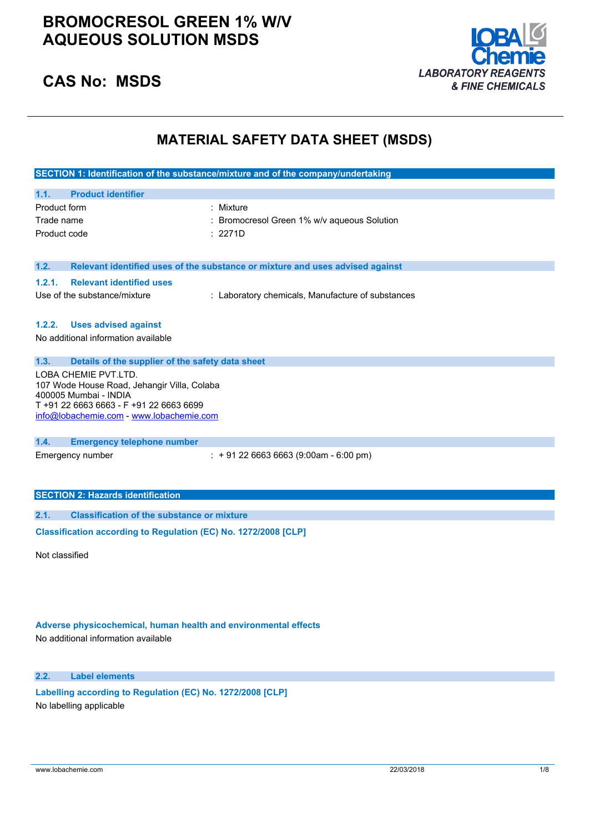## **BROMOCRESOL GREEN 1% W/V AQUEOUS SOLUTION MSDS**





## **MATERIAL SAFETY DATA SHEET (MSDS)**

|                                                                | SECTION 1: Identification of the substance/mixture and of the company/undertaking |  |  |
|----------------------------------------------------------------|-----------------------------------------------------------------------------------|--|--|
|                                                                |                                                                                   |  |  |
| <b>Product identifier</b><br>1.1.                              |                                                                                   |  |  |
| Product form                                                   | : Mixture                                                                         |  |  |
| Trade name                                                     | Bromocresol Green 1% w/v aqueous Solution                                         |  |  |
| Product code                                                   | : 2271D                                                                           |  |  |
|                                                                |                                                                                   |  |  |
| 1.2.                                                           | Relevant identified uses of the substance or mixture and uses advised against     |  |  |
| <b>Relevant identified uses</b><br>1.2.1.                      |                                                                                   |  |  |
| Use of the substance/mixture                                   | : Laboratory chemicals, Manufacture of substances                                 |  |  |
|                                                                |                                                                                   |  |  |
| <b>Uses advised against</b><br>1.2.2.                          |                                                                                   |  |  |
| No additional information available                            |                                                                                   |  |  |
|                                                                |                                                                                   |  |  |
| 1.3.<br>Details of the supplier of the safety data sheet       |                                                                                   |  |  |
| LOBA CHEMIE PVT.LTD.                                           |                                                                                   |  |  |
| 107 Wode House Road, Jehangir Villa, Colaba                    |                                                                                   |  |  |
| 400005 Mumbai - INDIA<br>T+91 22 6663 6663 - F+91 22 6663 6699 |                                                                                   |  |  |
| info@lobachemie.com - www.lobachemie.com                       |                                                                                   |  |  |
|                                                                |                                                                                   |  |  |
| 1.4.<br><b>Emergency telephone number</b>                      |                                                                                   |  |  |
| Emergency number                                               | $\div$ + 91 22 6663 6663 (9:00am - 6:00 pm)                                       |  |  |
|                                                                |                                                                                   |  |  |
|                                                                |                                                                                   |  |  |
| <b>SECTION 2: Hazards identification</b>                       |                                                                                   |  |  |
| 2.1.<br><b>Classification of the substance or mixture</b>      |                                                                                   |  |  |
|                                                                | Classification according to Regulation (EC) No. 1272/2008 [CLP]                   |  |  |

Not classified

**Adverse physicochemical, human health and environmental effects**

No additional information available

**2.2. Label elements**

**Labelling according to** Regulation (EC) No. 1272/2008 [CLP] No labelling applicable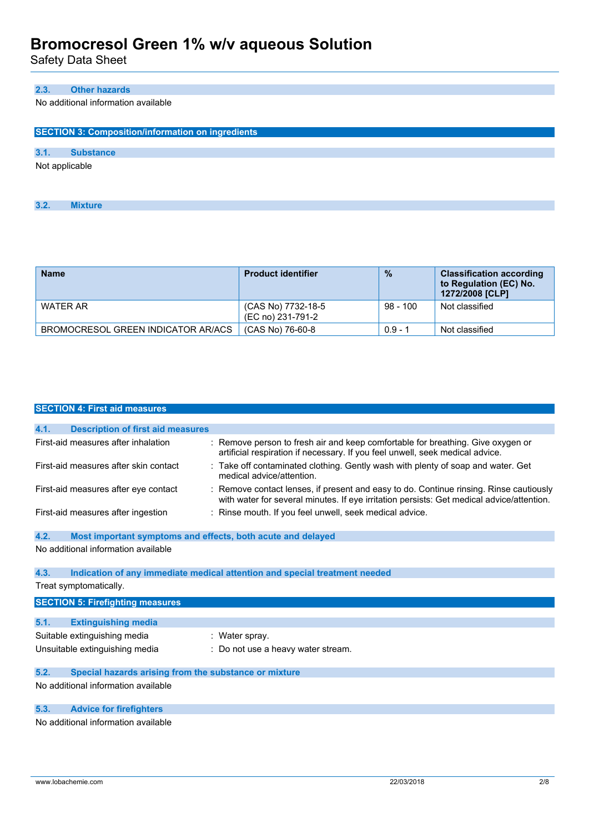Safety Data Sheet

### **2.3. Other hazards**

No additional information available

|      | <b>SECTION 3: Composition/information on ingredients</b> |  |  |
|------|----------------------------------------------------------|--|--|
| 3.1. | <b>Substance</b>                                         |  |  |
|      | Not applicable                                           |  |  |
|      |                                                          |  |  |
|      |                                                          |  |  |
| 3.2. | <b>Mixture</b>                                           |  |  |

| <b>Name</b>                        | <b>Product identifier</b>               | $\frac{9}{6}$ | <b>Classification according</b><br>to Regulation (EC) No.<br>1272/2008 [CLP] |
|------------------------------------|-----------------------------------------|---------------|------------------------------------------------------------------------------|
| WATER AR                           | (CAS No) 7732-18-5<br>(EC no) 231-791-2 | $98 - 100$    | Not classified                                                               |
| BROMOCRESOL GREEN INDICATOR AR/ACS | (CAS No) 76-60-8                        | $0.9 - 1$     | Not classified                                                               |

|      | <b>SECTION 4: First aid measures</b>                        |                                                                                                                                                                                     |
|------|-------------------------------------------------------------|-------------------------------------------------------------------------------------------------------------------------------------------------------------------------------------|
|      |                                                             |                                                                                                                                                                                     |
| 4.1. | <b>Description of first aid measures</b>                    |                                                                                                                                                                                     |
|      | First-aid measures after inhalation                         | : Remove person to fresh air and keep comfortable for breathing. Give oxygen or<br>artificial respiration if necessary. If you feel unwell, seek medical advice.                    |
|      | First-aid measures after skin contact                       | : Take off contaminated clothing. Gently wash with plenty of soap and water. Get<br>medical advice/attention.                                                                       |
|      | First-aid measures after eye contact                        | : Remove contact lenses, if present and easy to do. Continue rinsing. Rinse cautiously<br>with water for several minutes. If eye irritation persists: Get medical advice/attention. |
|      | First-aid measures after ingestion                          | : Rinse mouth. If you feel unwell, seek medical advice.                                                                                                                             |
| 4.2. | Most important symptoms and effects, both acute and delayed |                                                                                                                                                                                     |
|      | No additional information available                         |                                                                                                                                                                                     |
| 4.3. |                                                             | Indication of any immediate medical attention and special treatment needed                                                                                                          |
|      | Treat symptomatically.                                      |                                                                                                                                                                                     |
|      | <b>SECTION 5: Firefighting measures</b>                     |                                                                                                                                                                                     |
| 5.1. | <b>Extinguishing media</b>                                  |                                                                                                                                                                                     |
|      | Suitable extinguishing media                                | : Water spray.                                                                                                                                                                      |
|      | Unsuitable extinguishing media                              | : Do not use a heavy water stream.                                                                                                                                                  |
| 5.2. | Special hazards arising from the substance or mixture       |                                                                                                                                                                                     |
|      | No additional information available                         |                                                                                                                                                                                     |
| 5.3. | <b>Advice for firefighters</b>                              |                                                                                                                                                                                     |

No additional information available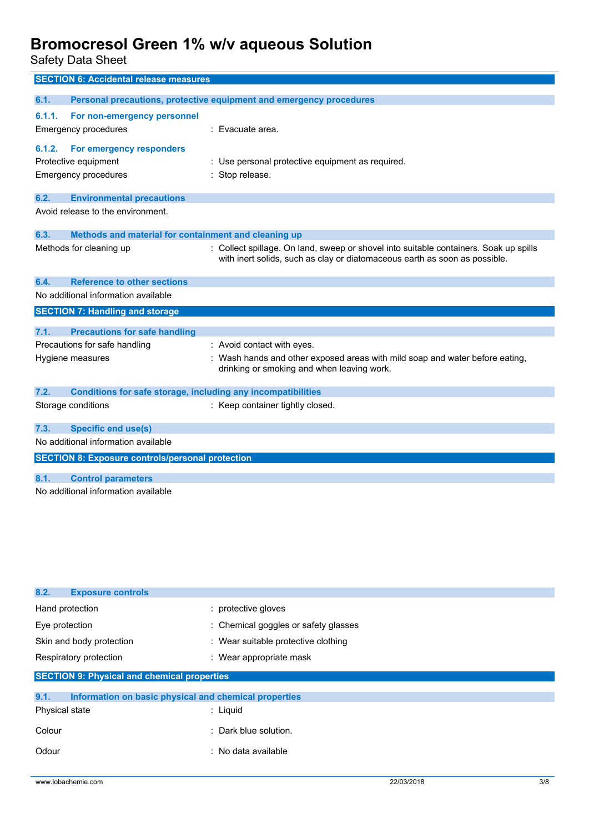Safety Data Sheet

| <b>SECTION 6: Accidental release measures</b>                               |                                                                                                                                                                     |
|-----------------------------------------------------------------------------|---------------------------------------------------------------------------------------------------------------------------------------------------------------------|
| 6.1.                                                                        | Personal precautions, protective equipment and emergency procedures                                                                                                 |
| 6.1.1.<br>For non-emergency personnel                                       |                                                                                                                                                                     |
| <b>Emergency procedures</b>                                                 | : Evacuate area.                                                                                                                                                    |
|                                                                             |                                                                                                                                                                     |
| 6.1.2.<br>For emergency responders<br>Protective equipment                  | : Use personal protective equipment as required.                                                                                                                    |
| <b>Emergency procedures</b>                                                 | Stop release.                                                                                                                                                       |
|                                                                             |                                                                                                                                                                     |
| 6.2.<br><b>Environmental precautions</b>                                    |                                                                                                                                                                     |
| Avoid release to the environment.                                           |                                                                                                                                                                     |
| 6.3.<br>Methods and material for containment and cleaning up                |                                                                                                                                                                     |
| Methods for cleaning up                                                     | : Collect spillage. On land, sweep or shovel into suitable containers. Soak up spills<br>with inert solids, such as clay or diatomaceous earth as soon as possible. |
| 6.4.<br><b>Reference to other sections</b>                                  |                                                                                                                                                                     |
| No additional information available                                         |                                                                                                                                                                     |
| <b>SECTION 7: Handling and storage</b>                                      |                                                                                                                                                                     |
| <b>Precautions for safe handling</b><br>7.1.                                |                                                                                                                                                                     |
| Precautions for safe handling                                               | : Avoid contact with eyes.                                                                                                                                          |
| Hygiene measures                                                            | Wash hands and other exposed areas with mild soap and water before eating,<br>drinking or smoking and when leaving work.                                            |
| 7.2.<br><b>Conditions for safe storage, including any incompatibilities</b> |                                                                                                                                                                     |
| Storage conditions                                                          | : Keep container tightly closed.                                                                                                                                    |
| 7.3.<br><b>Specific end use(s)</b>                                          |                                                                                                                                                                     |
| No additional information available                                         |                                                                                                                                                                     |
| <b>SECTION 8: Exposure controls/personal protection</b>                     |                                                                                                                                                                     |
| 8.1.<br><b>Control parameters</b>                                           |                                                                                                                                                                     |
| No additional information available                                         |                                                                                                                                                                     |
|                                                                             |                                                                                                                                                                     |
|                                                                             |                                                                                                                                                                     |
|                                                                             |                                                                                                                                                                     |
|                                                                             |                                                                                                                                                                     |

| 8.2.<br><b>Exposure controls</b>                              |                                      |
|---------------------------------------------------------------|--------------------------------------|
| Hand protection                                               | : protective gloves                  |
| Eye protection                                                | : Chemical goggles or safety glasses |
| Skin and body protection                                      | : Wear suitable protective clothing  |
| Respiratory protection                                        | : Wear appropriate mask              |
| <b>SECTION 9: Physical and chemical properties</b>            |                                      |
| 9.1.<br>Information on basic physical and chemical properties |                                      |
| Physical state                                                | : Liguid                             |
| Colour                                                        | : Dark blue solution.                |
| Odour                                                         | $:$ No data available                |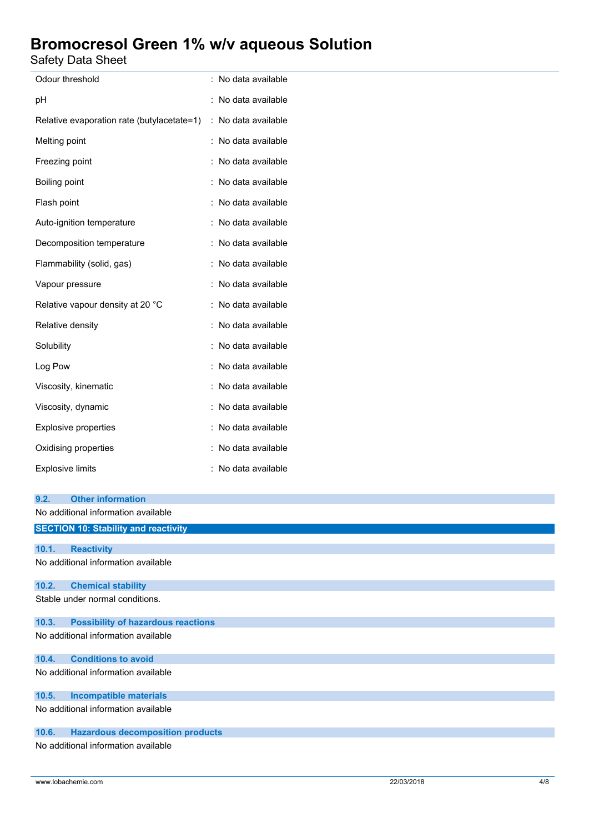Safety Data Sheet

| palely Dala Sheel                                                 |                     |
|-------------------------------------------------------------------|---------------------|
| Odour threshold                                                   | : No data available |
| рH                                                                | : No data available |
| Relative evaporation rate (butylacetate=1)                        | : No data available |
| Melting point                                                     | : No data available |
| Freezing point                                                    | : No data available |
| Boiling point                                                     | : No data available |
| Flash point                                                       | : No data available |
| Auto-ignition temperature                                         | : No data available |
| Decomposition temperature                                         | : No data available |
| Flammability (solid, gas)                                         | : No data available |
| Vapour pressure                                                   | : No data available |
| Relative vapour density at 20 °C                                  | : No data available |
| Relative density                                                  | : No data available |
| Solubility                                                        | : No data available |
| Log Pow                                                           | : No data available |
| Viscosity, kinematic                                              | : No data available |
| Viscosity, dynamic                                                | : No data available |
| Explosive properties                                              | : No data available |
| Oxidising properties                                              | : No data available |
| <b>Explosive limits</b>                                           | : No data available |
| <b>Other information</b><br>9.2.                                  |                     |
| No additional information available                               |                     |
| <b>SECTION 10: Stability and reactivity</b>                       |                     |
| <b>Reactivity</b><br>10.1.<br>No additional information available |                     |
| <b>Chemical stability</b><br>10.2.                                |                     |
| Stable under normal conditions.                                   |                     |
| <b>Possibility of hazardous reactions</b><br>10.3.                |                     |
| No additional information available                               |                     |
| <b>Conditions to avoid</b><br>10.4.                               |                     |
| No additional information available                               |                     |
| <b>Incompatible materials</b><br>10.5.                            |                     |

No additional information available

### **10.6. Hazardous decomposition products**

No additional information available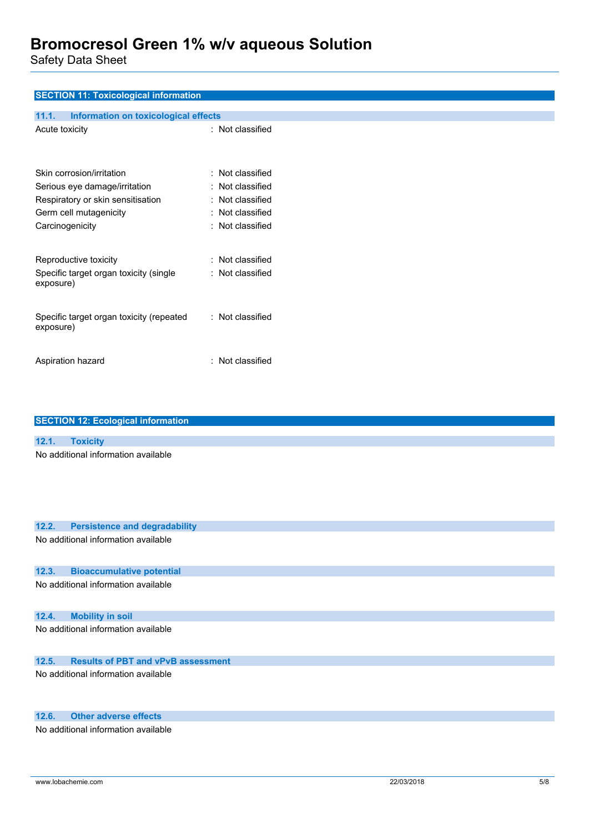Safety Data Sheet

| <b>SECTION 11: Toxicological information</b>          |                  |
|-------------------------------------------------------|------------------|
| 11.1.<br>Information on toxicological effects         |                  |
| Acute toxicity                                        | : Not classified |
|                                                       |                  |
| Skin corrosion/irritation                             | : Not classified |
| Serious eye damage/irritation                         | : Not classified |
| Respiratory or skin sensitisation                     | : Not classified |
| Germ cell mutagenicity                                | : Not classified |
| Carcinogenicity                                       | : Not classified |
|                                                       |                  |
| Reproductive toxicity                                 | : Not classified |
| Specific target organ toxicity (single<br>exposure)   | : Not classified |
| Specific target organ toxicity (repeated<br>exposure) | : Not classified |
| Aspiration hazard                                     | : Not classified |
|                                                       |                  |

| <b>OCUTION TZ. COOPGIUM INTOINATION</b>       |
|-----------------------------------------------|
|                                               |
| 12.1.<br><b>Toxicity</b>                      |
| No additional information available           |
| 12.2.<br><b>Persistence and degradability</b> |
| No additional information available           |
| 12.3.<br><b>Bioaccumulative potential</b>     |
| No additional information available           |
| 12.4.<br><b>Mobility in soil</b>              |
| No additional information available           |

### **12.5. Results of PBT and vPvB assessment**

No additional information available

### **12.6. Other adverse effects**

No additional information available

**SECTION 12: Ecological information**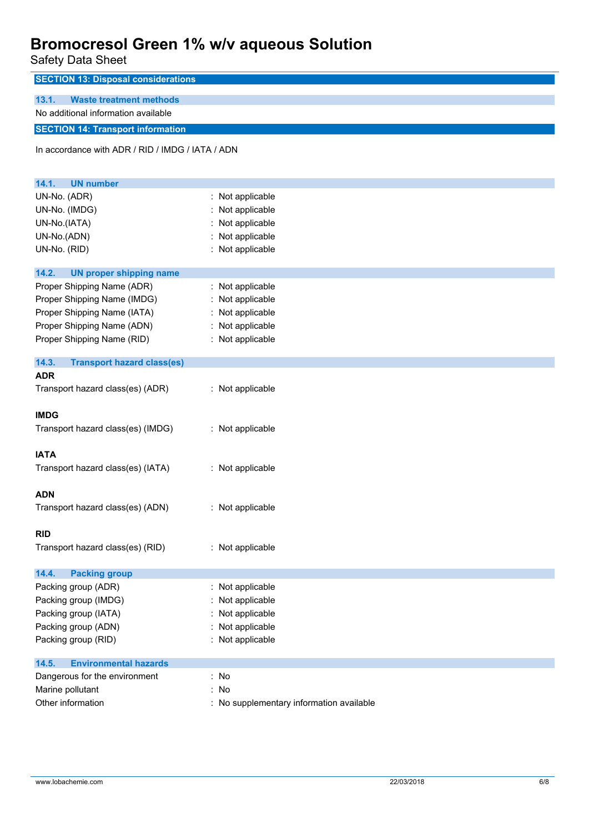Safety Data Sheet

| <b>SECTION 13: Disposal considerations</b>       |                                          |
|--------------------------------------------------|------------------------------------------|
| <b>Waste treatment methods</b><br>13.1.          |                                          |
| No additional information available              |                                          |
| <b>SECTION 14: Transport information</b>         |                                          |
| In accordance with ADR / RID / IMDG / IATA / ADN |                                          |
| <b>UN number</b><br>14.1.                        |                                          |
| UN-No. (ADR)                                     | : Not applicable                         |
| UN-No. (IMDG)                                    | : Not applicable                         |
| UN-No.(IATA)                                     | Not applicable                           |
| UN-No.(ADN)                                      | Not applicable                           |
| UN-No. (RID)                                     | : Not applicable                         |
| 14.2.<br><b>UN proper shipping name</b>          |                                          |
| Proper Shipping Name (ADR)                       | : Not applicable                         |
| Proper Shipping Name (IMDG)                      | Not applicable                           |
| Proper Shipping Name (IATA)                      | : Not applicable                         |
| Proper Shipping Name (ADN)                       | : Not applicable                         |
| Proper Shipping Name (RID)                       | : Not applicable                         |
| 14.3.<br><b>Transport hazard class(es)</b>       |                                          |
| <b>ADR</b>                                       |                                          |
| Transport hazard class(es) (ADR)                 | : Not applicable                         |
| <b>IMDG</b>                                      |                                          |
| Transport hazard class(es) (IMDG)                | : Not applicable                         |
|                                                  |                                          |
| <b>IATA</b>                                      |                                          |
| Transport hazard class(es) (IATA)                | : Not applicable                         |
| <b>ADN</b>                                       |                                          |
| Transport hazard class(es) (ADN)                 | : Not applicable                         |
|                                                  |                                          |
| <b>RID</b>                                       |                                          |
| Transport hazard class(es) (RID)                 | : Not applicable                         |
| 14.4.<br><b>Packing group</b>                    |                                          |
| Packing group (ADR)                              | : Not applicable                         |
| Packing group (IMDG)                             | : Not applicable                         |
| Packing group (IATA)                             | Not applicable                           |
| Packing group (ADN)                              | Not applicable                           |
| Packing group (RID)                              | : Not applicable                         |
| <b>Environmental hazards</b><br>14.5.            |                                          |
| Dangerous for the environment                    | : No                                     |
| Marine pollutant                                 | : No                                     |
| Other information                                | : No supplementary information available |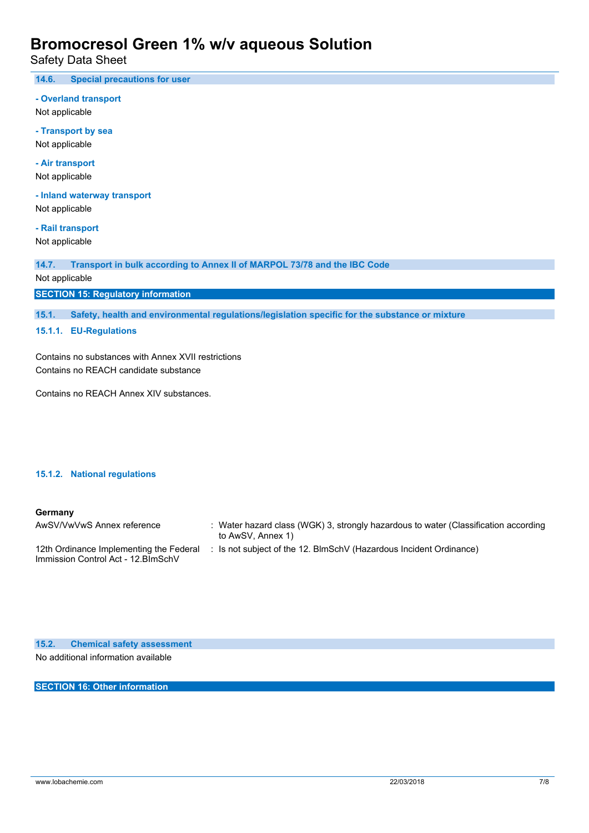Safety Data Sheet

**14.6. Special precautions for user**

**- Overland transport** Not applicable

**- Transport by sea** Not applicable

**- Air transport** Not applicable

**- Inland waterway transport** Not applicable

**- Rail transport** Not applicable

**14.7. Transport in bulk according to Annex II of MARPOL 73/78 and the IBC Code**

Not applicable

**SECTION 15: Regulatory information**

**15.1. Safety, health and environmental regulations/legislation specific for the substance or mixture**

**15.1.1. EU-Regulations**

Contains no substances with Annex XVII restrictions Contains no REACH candidate substance

Contains no REACH Annex XIV substances.

#### **15.1.2. National regulations**

#### **Germany**

| AwSV/VwVwS Annex reference                                                     | : Water hazard class (WGK) 3, strongly hazardous to water (Classification according<br>to AwSV, Annex 1) |
|--------------------------------------------------------------------------------|----------------------------------------------------------------------------------------------------------|
| 12th Ordinance Implementing the Federal<br>Immission Control Act - 12. BlmSchV | Is not subject of the 12. BlmSchV (Hazardous Incident Ordinance)                                         |

**15.2. Chemical safety assessment** No additional information available

**SECTION 16: Other information**